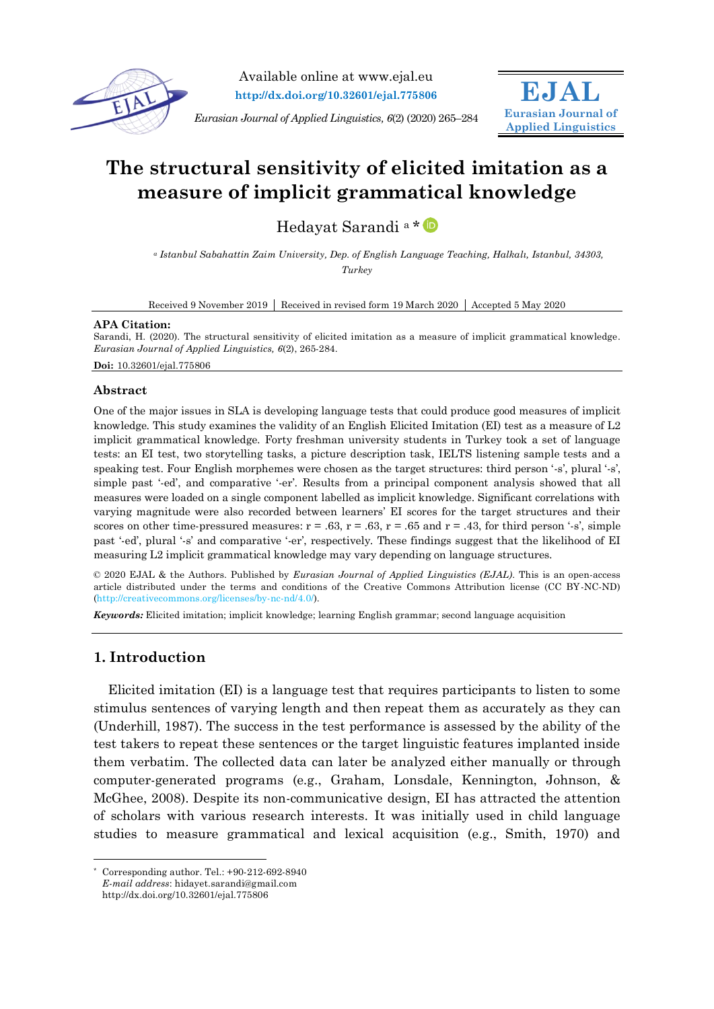

Available online at www.ejal.eu **http://dx.doi.org/10.32601/ejal.775806**

*Eurasian Journal of Applied Linguistics, 6*(2) (2020) 265–284



# **The structural sensitivity of elicited imitation as a measure of implicit grammatical knowledge**

Hedayat Sarandi <sup>a</sup> [\\*](https://orcid.org/0000-0001-6292-1735)

*<sup>a</sup> Istanbul Sabahattin Zaim University, Dep. of English Language Teaching, Halkalı, Istanbul, 34303, Turkey*

Received 9 November 2019 | Received in revised form 19 March 2020 | Accepted 5 May 2020

#### **APA Citation:**

Sarandi, H. (2020). The structural sensitivity of elicited imitation as a measure of implicit grammatical knowledge. *Eurasian Journal of Applied Linguistics, 6*(2), 265-284.

**Doi:** 10.32601/ejal.775806

# **Abstract**

One of the major issues in SLA is developing language tests that could produce good measures of implicit knowledge. This study examines the validity of an English Elicited Imitation (EI) test as a measure of L2 implicit grammatical knowledge. Forty freshman university students in Turkey took a set of language tests: an EI test, two storytelling tasks, a picture description task, IELTS listening sample tests and a speaking test. Four English morphemes were chosen as the target structures: third person '-s', plural '-s', simple past '-ed', and comparative '-er'. Results from a principal component analysis showed that all measures were loaded on a single component labelled as implicit knowledge. Significant correlations with varying magnitude were also recorded between learners' EI scores for the target structures and their scores on other time-pressured measures:  $r = .63$ ,  $r = .63$ ,  $r = .65$  and  $r = .43$ , for third person '-s', simple past '-ed', plural '-s' and comparative '-er', respectively. These findings suggest that the likelihood of EI measuring L2 implicit grammatical knowledge may vary depending on language structures.

© 2020 EJAL & the Authors. Published by *Eurasian Journal of Applied Linguistics (EJAL)*. This is an open-access article distributed under the terms and conditions of the Creative Commons Attribution license (CC BY-NC-ND) (http://creativecommons.org/licenses/by-nc-nd/4.0/).

*Keywords:* Elicited imitation; implicit knowledge; learning English grammar; second language acquisition

# **1. Introduction**

-

Elicited imitation (EI) is a language test that requires participants to listen to some stimulus sentences of varying length and then repeat them as accurately as they can (Underhill, 1987). The success in the test performance is assessed by the ability of the test takers to repeat these sentences or the target linguistic features implanted inside them verbatim. The collected data can later be analyzed either manually or through computer-generated programs (e.g., Graham, Lonsdale, Kennington, Johnson, & McGhee, 2008). Despite its non-communicative design, EI has attracted the attention of scholars with various research interests. It was initially used in child language studies to measure grammatical and lexical acquisition (e.g., Smith, 1970) and

<sup>\*</sup> Corresponding author. Tel.: +90-212-692-8940

*E-mail address*: hidayet.sarandi@gmail.com http://dx.doi.org/10.32601/ejal.775806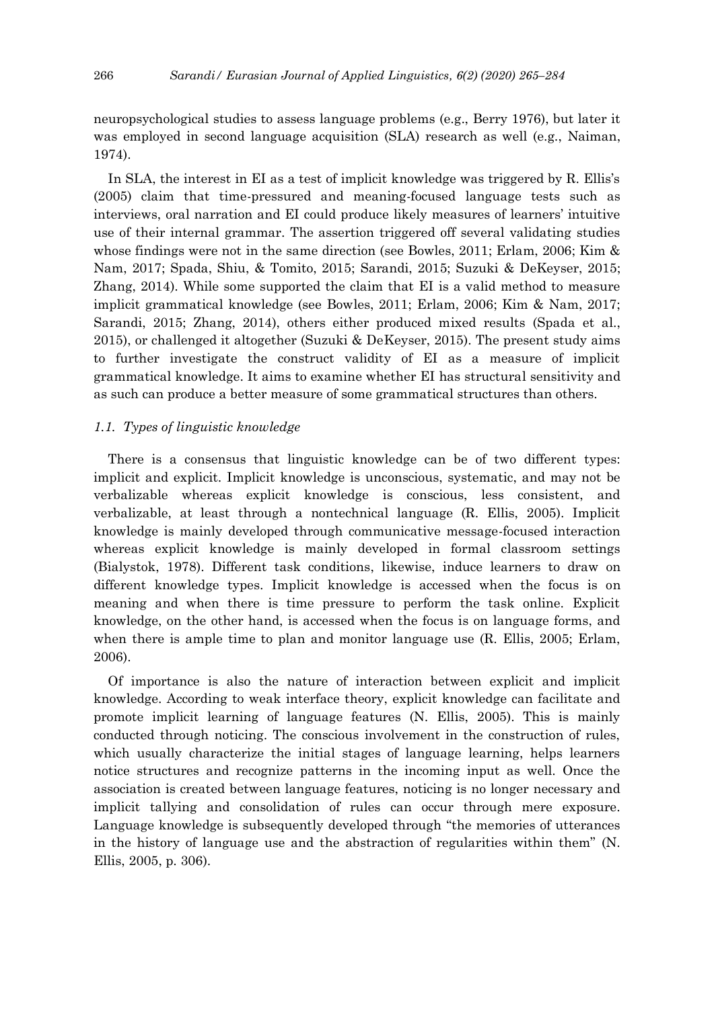neuropsychological studies to assess language problems (e.g., Berry 1976), but later it was employed in second language acquisition (SLA) research as well (e.g., Naiman, 1974).

In SLA, the interest in EI as a test of implicit knowledge was triggered by R. Ellis's (2005) claim that time-pressured and meaning-focused language tests such as interviews, oral narration and EI could produce likely measures of learners' intuitive use of their internal grammar. The assertion triggered off several validating studies whose findings were not in the same direction (see Bowles, 2011; Erlam, 2006; Kim & Nam, 2017; Spada, Shiu, & Tomito, 2015; Sarandi, 2015; Suzuki & DeKeyser, 2015; Zhang, 2014). While some supported the claim that EI is a valid method to measure implicit grammatical knowledge (see Bowles, 2011; Erlam, 2006; Kim & Nam, 2017; Sarandi, 2015; Zhang, 2014), others either produced mixed results (Spada et al., 2015), or challenged it altogether (Suzuki & DeKeyser, 2015). The present study aims to further investigate the construct validity of EI as a measure of implicit grammatical knowledge. It aims to examine whether EI has structural sensitivity and as such can produce a better measure of some grammatical structures than others.

## *1.1. Types of linguistic knowledge*

There is a consensus that linguistic knowledge can be of two different types: implicit and explicit. Implicit knowledge is unconscious, systematic, and may not be verbalizable whereas explicit knowledge is conscious, less consistent, and verbalizable, at least through a nontechnical language (R. Ellis, 2005). Implicit knowledge is mainly developed through communicative message-focused interaction whereas explicit knowledge is mainly developed in formal classroom settings (Bialystok, 1978). Different task conditions, likewise, induce learners to draw on different knowledge types. Implicit knowledge is accessed when the focus is on meaning and when there is time pressure to perform the task online. Explicit knowledge, on the other hand, is accessed when the focus is on language forms, and when there is ample time to plan and monitor language use (R. Ellis, 2005; Erlam, 2006).

Of importance is also the nature of interaction between explicit and implicit knowledge. According to weak interface theory, explicit knowledge can facilitate and promote implicit learning of language features (N. Ellis, 2005). This is mainly conducted through noticing. The conscious involvement in the construction of rules, which usually characterize the initial stages of language learning, helps learners notice structures and recognize patterns in the incoming input as well. Once the association is created between language features, noticing is no longer necessary and implicit tallying and consolidation of rules can occur through mere exposure. Language knowledge is subsequently developed through "the memories of utterances in the history of language use and the abstraction of regularities within them" (N. Ellis, 2005, p. 306).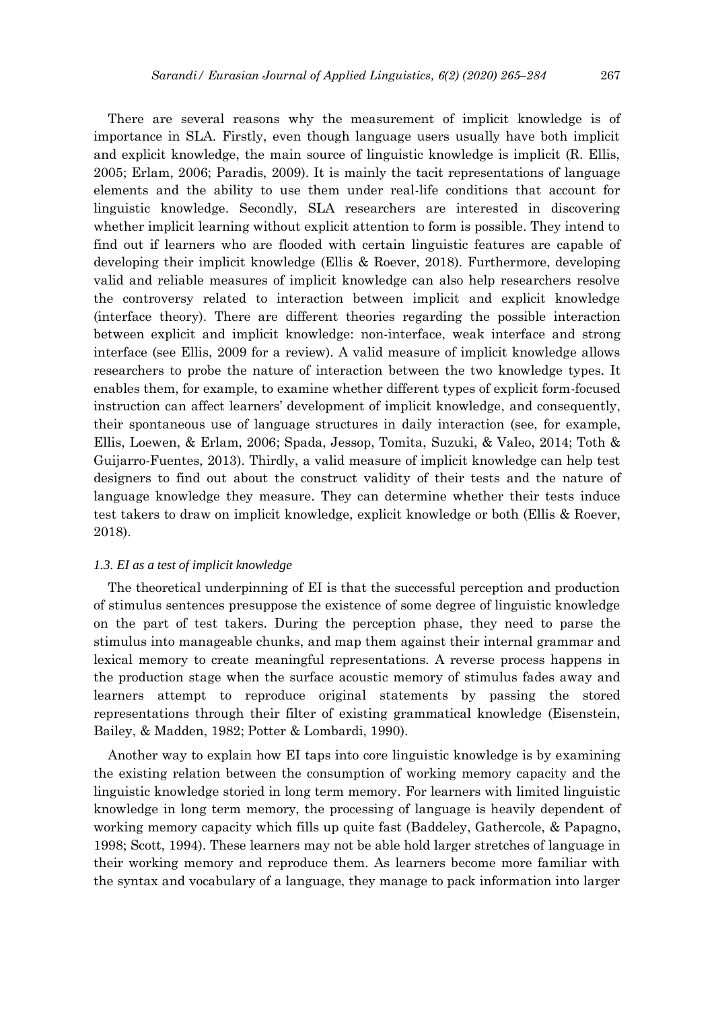There are several reasons why the measurement of implicit knowledge is of importance in SLA. Firstly, even though language users usually have both implicit and explicit knowledge, the main source of linguistic knowledge is implicit (R. Ellis, 2005; Erlam, 2006; Paradis, 2009). It is mainly the tacit representations of language elements and the ability to use them under real-life conditions that account for linguistic knowledge. Secondly, SLA researchers are interested in discovering whether implicit learning without explicit attention to form is possible. They intend to find out if learners who are flooded with certain linguistic features are capable of developing their implicit knowledge (Ellis & Roever, 2018). Furthermore, developing valid and reliable measures of implicit knowledge can also help researchers resolve the controversy related to interaction between implicit and explicit knowledge (interface theory). There are different theories regarding the possible interaction between explicit and implicit knowledge: non-interface, weak interface and strong interface (see Ellis, 2009 for a review). A valid measure of implicit knowledge allows researchers to probe the nature of interaction between the two knowledge types. It enables them, for example, to examine whether different types of explicit form-focused instruction can affect learners' development of implicit knowledge, and consequently, their spontaneous use of language structures in daily interaction (see, for example, Ellis, Loewen, & Erlam, 2006; Spada, Jessop, Tomita, Suzuki, & Valeo, 2014; Toth & Guijarro-Fuentes, 2013). Thirdly, a valid measure of implicit knowledge can help test designers to find out about the construct validity of their tests and the nature of language knowledge they measure. They can determine whether their tests induce test takers to draw on implicit knowledge, explicit knowledge or both (Ellis & Roever, 2018).

#### *1.3. EI as a test of implicit knowledge*

The theoretical underpinning of EI is that the successful perception and production of stimulus sentences presuppose the existence of some degree of linguistic knowledge on the part of test takers. During the perception phase, they need to parse the stimulus into manageable chunks, and map them against their internal grammar and lexical memory to create meaningful representations. A reverse process happens in the production stage when the surface acoustic memory of stimulus fades away and learners attempt to reproduce original statements by passing the stored representations through their filter of existing grammatical knowledge (Eisenstein, Bailey, & Madden, 1982; Potter & Lombardi, 1990).

Another way to explain how EI taps into core linguistic knowledge is by examining the existing relation between the consumption of working memory capacity and the linguistic knowledge storied in long term memory. For learners with limited linguistic knowledge in long term memory, the processing of language is heavily dependent of working memory capacity which fills up quite fast (Baddeley, Gathercole, & Papagno, 1998; Scott, 1994). These learners may not be able hold larger stretches of language in their working memory and reproduce them. As learners become more familiar with the syntax and vocabulary of a language, they manage to pack information into larger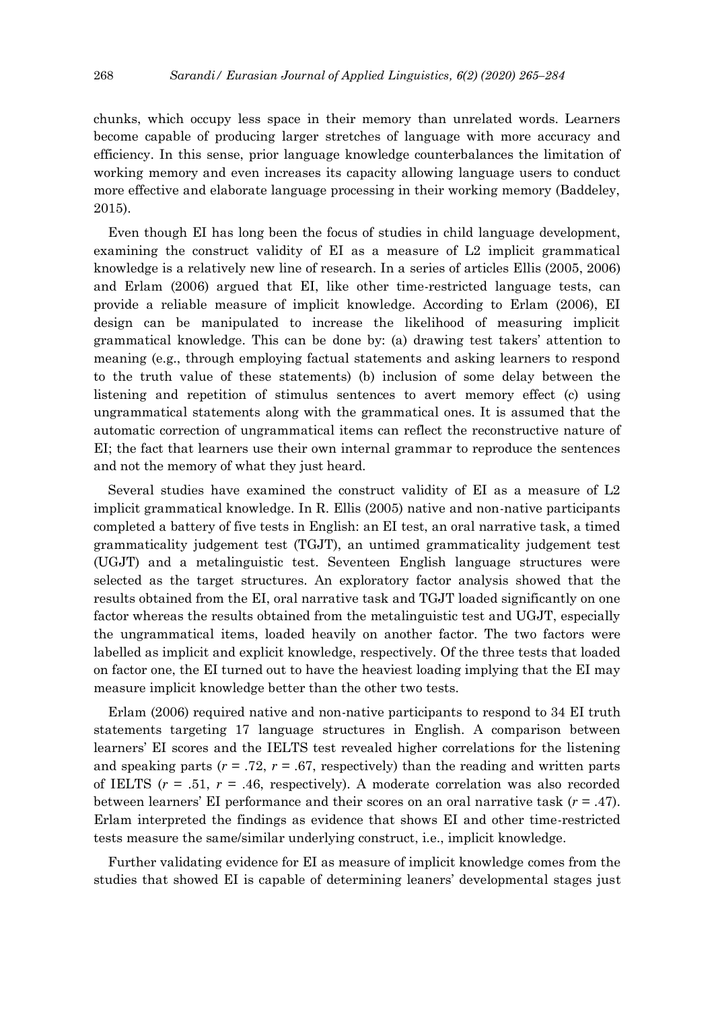chunks, which occupy less space in their memory than unrelated words. Learners become capable of producing larger stretches of language with more accuracy and efficiency. In this sense, prior language knowledge counterbalances the limitation of working memory and even increases its capacity allowing language users to conduct more effective and elaborate language processing in their working memory (Baddeley, 2015).

Even though EI has long been the focus of studies in child language development, examining the construct validity of EI as a measure of L2 implicit grammatical knowledge is a relatively new line of research. In a series of articles Ellis (2005, 2006) and Erlam (2006) argued that EI, like other time-restricted language tests, can provide a reliable measure of implicit knowledge. According to Erlam (2006), EI design can be manipulated to increase the likelihood of measuring implicit grammatical knowledge. This can be done by: (a) drawing test takers' attention to meaning (e.g., through employing factual statements and asking learners to respond to the truth value of these statements) (b) inclusion of some delay between the listening and repetition of stimulus sentences to avert memory effect (c) using ungrammatical statements along with the grammatical ones. It is assumed that the automatic correction of ungrammatical items can reflect the reconstructive nature of EI; the fact that learners use their own internal grammar to reproduce the sentences and not the memory of what they just heard.

Several studies have examined the construct validity of EI as a measure of L2 implicit grammatical knowledge. In R. Ellis (2005) native and non-native participants completed a battery of five tests in English: an EI test, an oral narrative task, a timed grammaticality judgement test (TGJT), an untimed grammaticality judgement test (UGJT) and a metalinguistic test. Seventeen English language structures were selected as the target structures. An exploratory factor analysis showed that the results obtained from the EI, oral narrative task and TGJT loaded significantly on one factor whereas the results obtained from the metalinguistic test and UGJT, especially the ungrammatical items, loaded heavily on another factor. The two factors were labelled as implicit and explicit knowledge, respectively. Of the three tests that loaded on factor one, the EI turned out to have the heaviest loading implying that the EI may measure implicit knowledge better than the other two tests.

Erlam (2006) required native and non-native participants to respond to 34 EI truth statements targeting 17 language structures in English. A comparison between learners' EI scores and the IELTS test revealed higher correlations for the listening and speaking parts  $(r = .72, r = .67,$  respectively) than the reading and written parts of IELTS (*r* = .51, *r* = .46, respectively). A moderate correlation was also recorded between learners' EI performance and their scores on an oral narrative task (*r* = .47). Erlam interpreted the findings as evidence that shows EI and other time-restricted tests measure the same/similar underlying construct, i.e., implicit knowledge.

Further validating evidence for EI as measure of implicit knowledge comes from the studies that showed EI is capable of determining leaners' developmental stages just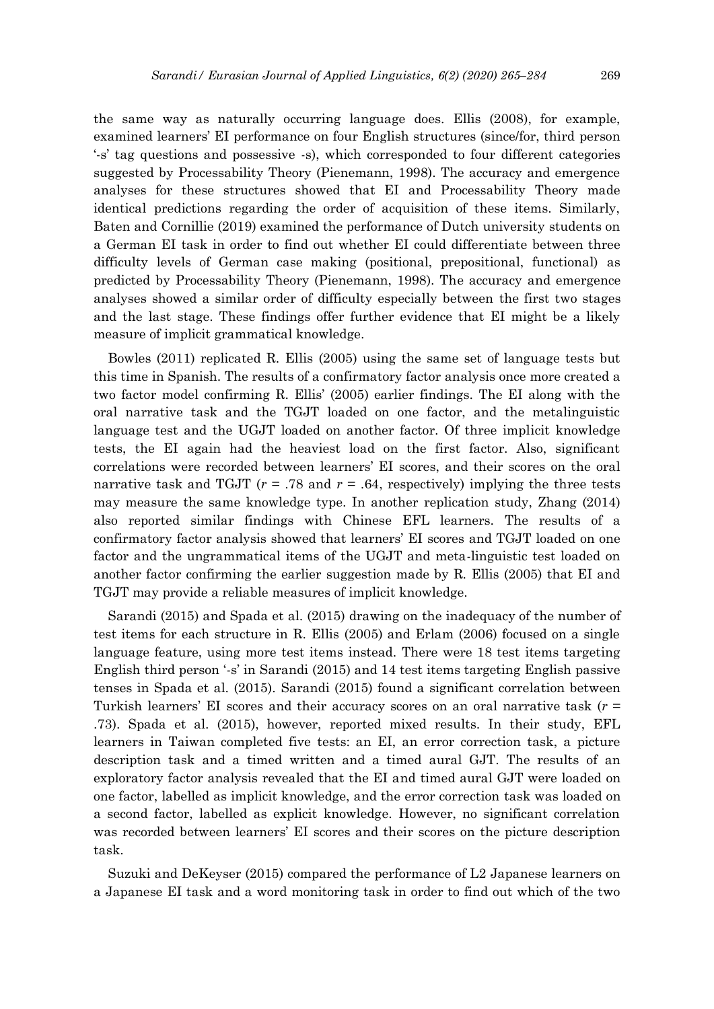the same way as naturally occurring language does. Ellis (2008), for example, examined learners' EI performance on four English structures (since/for, third person '-s' tag questions and possessive -s), which corresponded to four different categories suggested by Processability Theory (Pienemann, 1998). The accuracy and emergence analyses for these structures showed that EI and Processability Theory made identical predictions regarding the order of acquisition of these items. Similarly, Baten and Cornillie (2019) examined the performance of Dutch university students on a German EI task in order to find out whether EI could differentiate between three difficulty levels of German case making (positional, prepositional, functional) as predicted by Processability Theory (Pienemann, 1998). The accuracy and emergence analyses showed a similar order of difficulty especially between the first two stages and the last stage. These findings offer further evidence that EI might be a likely measure of implicit grammatical knowledge.

Bowles (2011) replicated R. Ellis (2005) using the same set of language tests but this time in Spanish. The results of a confirmatory factor analysis once more created a two factor model confirming R. Ellis' (2005) earlier findings. The EI along with the oral narrative task and the TGJT loaded on one factor, and the metalinguistic language test and the UGJT loaded on another factor. Of three implicit knowledge tests, the EI again had the heaviest load on the first factor. Also, significant correlations were recorded between learners' EI scores, and their scores on the oral narrative task and TGJT ( $r = .78$  and  $r = .64$ , respectively) implying the three tests may measure the same knowledge type. In another replication study, Zhang (2014) also reported similar findings with Chinese EFL learners. The results of a confirmatory factor analysis showed that learners' EI scores and TGJT loaded on one factor and the ungrammatical items of the UGJT and meta-linguistic test loaded on another factor confirming the earlier suggestion made by R. Ellis (2005) that EI and TGJT may provide a reliable measures of implicit knowledge.

Sarandi (2015) and Spada et al. (2015) drawing on the inadequacy of the number of test items for each structure in R. Ellis (2005) and Erlam (2006) focused on a single language feature, using more test items instead. There were 18 test items targeting English third person '-s' in Sarandi (2015) and 14 test items targeting English passive tenses in Spada et al. (2015). Sarandi (2015) found a significant correlation between Turkish learners' EI scores and their accuracy scores on an oral narrative task (*r* = .73). Spada et al. (2015), however, reported mixed results. In their study, EFL learners in Taiwan completed five tests: an EI, an error correction task, a picture description task and a timed written and a timed aural GJT. The results of an exploratory factor analysis revealed that the EI and timed aural GJT were loaded on one factor, labelled as implicit knowledge, and the error correction task was loaded on a second factor, labelled as explicit knowledge. However, no significant correlation was recorded between learners' EI scores and their scores on the picture description task.

Suzuki and DeKeyser (2015) compared the performance of L2 Japanese learners on a Japanese EI task and a word monitoring task in order to find out which of the two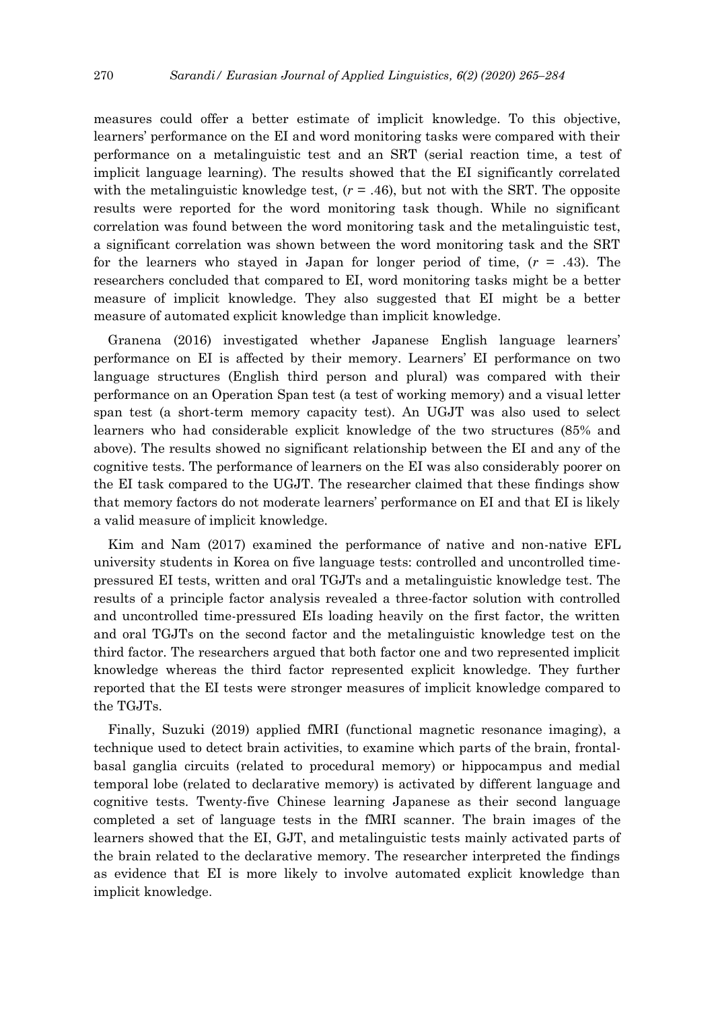measures could offer a better estimate of implicit knowledge. To this objective, learners' performance on the EI and word monitoring tasks were compared with their performance on a metalinguistic test and an SRT (serial reaction time, a test of implicit language learning). The results showed that the EI significantly correlated with the metalinguistic knowledge test,  $(r = .46)$ , but not with the SRT. The opposite results were reported for the word monitoring task though. While no significant correlation was found between the word monitoring task and the metalinguistic test, a significant correlation was shown between the word monitoring task and the SRT for the learners who stayed in Japan for longer period of time, (*r* = .43). The researchers concluded that compared to EI, word monitoring tasks might be a better measure of implicit knowledge. They also suggested that EI might be a better measure of automated explicit knowledge than implicit knowledge.

Granena (2016) investigated whether Japanese English language learners' performance on EI is affected by their memory. Learners' EI performance on two language structures (English third person and plural) was compared with their performance on an Operation Span test (a test of working memory) and a visual letter span test (a short-term memory capacity test). An UGJT was also used to select learners who had considerable explicit knowledge of the two structures (85% and above). The results showed no significant relationship between the EI and any of the cognitive tests. The performance of learners on the EI was also considerably poorer on the EI task compared to the UGJT. The researcher claimed that these findings show that memory factors do not moderate learners' performance on EI and that EI is likely a valid measure of implicit knowledge.

Kim and Nam (2017) examined the performance of native and non-native EFL university students in Korea on five language tests: controlled and uncontrolled timepressured EI tests, written and oral TGJTs and a metalinguistic knowledge test. The results of a principle factor analysis revealed a three-factor solution with controlled and uncontrolled time-pressured EIs loading heavily on the first factor, the written and oral TGJTs on the second factor and the metalinguistic knowledge test on the third factor. The researchers argued that both factor one and two represented implicit knowledge whereas the third factor represented explicit knowledge. They further reported that the EI tests were stronger measures of implicit knowledge compared to the TGJTs.

Finally, Suzuki (2019) applied fMRI (functional magnetic resonance imaging), a technique used to detect brain activities, to examine which parts of the brain, frontalbasal ganglia circuits (related to procedural memory) or hippocampus and medial temporal lobe (related to declarative memory) is activated by different language and cognitive tests. Twenty-five Chinese learning Japanese as their second language completed a set of language tests in the fMRI scanner. The brain images of the learners showed that the EI, GJT, and metalinguistic tests mainly activated parts of the brain related to the declarative memory. The researcher interpreted the findings as evidence that EI is more likely to involve automated explicit knowledge than implicit knowledge.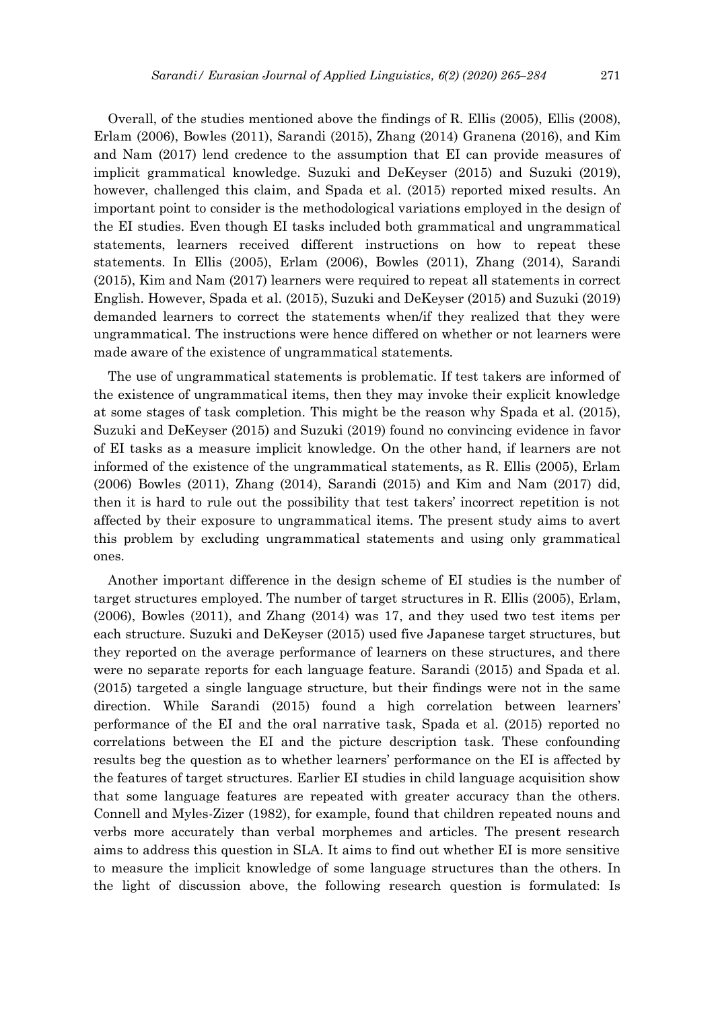Overall, of the studies mentioned above the findings of R. Ellis (2005), Ellis (2008), Erlam (2006), Bowles (2011), Sarandi (2015), Zhang (2014) Granena (2016), and Kim and Nam (2017) lend credence to the assumption that EI can provide measures of implicit grammatical knowledge. Suzuki and DeKeyser (2015) and Suzuki (2019), however, challenged this claim, and Spada et al. (2015) reported mixed results. An important point to consider is the methodological variations employed in the design of the EI studies. Even though EI tasks included both grammatical and ungrammatical statements, learners received different instructions on how to repeat these statements. In Ellis (2005), Erlam (2006), Bowles (2011), Zhang (2014), Sarandi (2015), Kim and Nam (2017) learners were required to repeat all statements in correct English. However, Spada et al. (2015), Suzuki and DeKeyser (2015) and Suzuki (2019) demanded learners to correct the statements when/if they realized that they were ungrammatical. The instructions were hence differed on whether or not learners were made aware of the existence of ungrammatical statements.

The use of ungrammatical statements is problematic. If test takers are informed of the existence of ungrammatical items, then they may invoke their explicit knowledge at some stages of task completion. This might be the reason why Spada et al. (2015), Suzuki and DeKeyser (2015) and Suzuki (2019) found no convincing evidence in favor of EI tasks as a measure implicit knowledge. On the other hand, if learners are not informed of the existence of the ungrammatical statements, as R. Ellis (2005), Erlam (2006) Bowles (2011), Zhang (2014), Sarandi (2015) and Kim and Nam (2017) did, then it is hard to rule out the possibility that test takers' incorrect repetition is not affected by their exposure to ungrammatical items. The present study aims to avert this problem by excluding ungrammatical statements and using only grammatical ones.

Another important difference in the design scheme of EI studies is the number of target structures employed. The number of target structures in R. Ellis (2005), Erlam, (2006), Bowles (2011), and Zhang (2014) was 17, and they used two test items per each structure. Suzuki and DeKeyser (2015) used five Japanese target structures, but they reported on the average performance of learners on these structures, and there were no separate reports for each language feature. Sarandi (2015) and Spada et al. (2015) targeted a single language structure, but their findings were not in the same direction. While Sarandi (2015) found a high correlation between learners' performance of the EI and the oral narrative task, Spada et al. (2015) reported no correlations between the EI and the picture description task. These confounding results beg the question as to whether learners' performance on the EI is affected by the features of target structures. Earlier EI studies in child language acquisition show that some language features are repeated with greater accuracy than the others. Connell and Myles-Zizer (1982), for example, found that children repeated nouns and verbs more accurately than verbal morphemes and articles. The present research aims to address this question in SLA. It aims to find out whether EI is more sensitive to measure the implicit knowledge of some language structures than the others. In the light of discussion above, the following research question is formulated: Is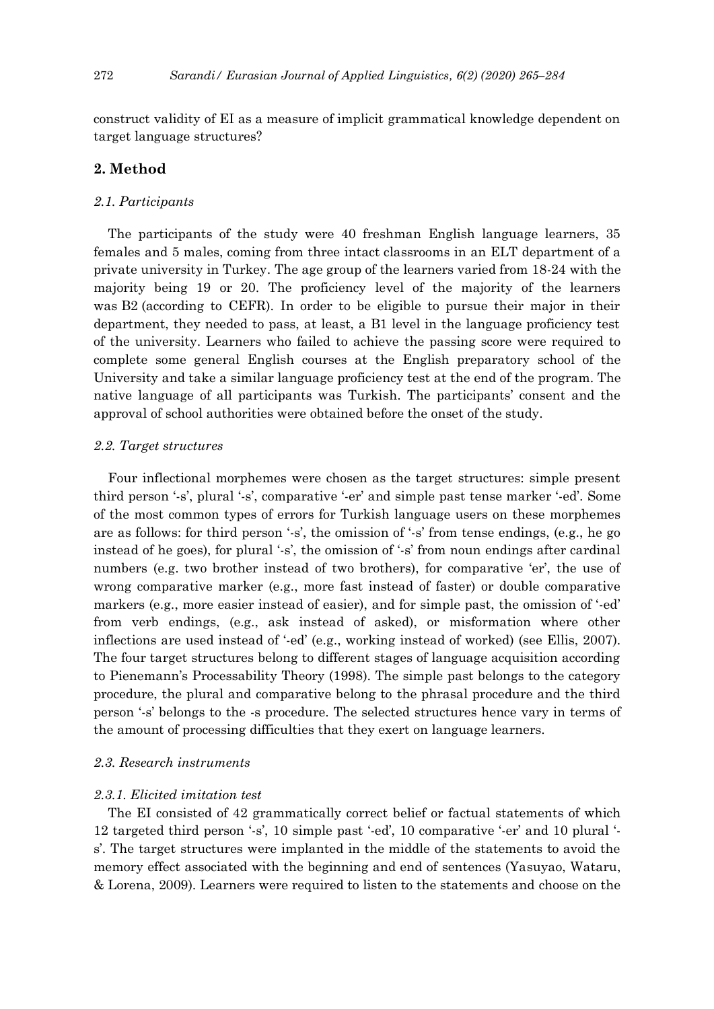construct validity of EI as a measure of implicit grammatical knowledge dependent on target language structures?

# **2. Method**

# *2.1. Participants*

The participants of the study were 40 freshman English language learners, 35 females and 5 males, coming from three intact classrooms in an ELT department of a private university in Turkey. The age group of the learners varied from 18-24 with the majority being 19 or 20. The proficiency level of the majority of the learners was B2 (according to CEFR). In order to be eligible to pursue their major in their department, they needed to pass, at least, a B1 level in the language proficiency test of the university. Learners who failed to achieve the passing score were required to complete some general English courses at the English preparatory school of the University and take a similar language proficiency test at the end of the program. The native language of all participants was Turkish. The participants' consent and the approval of school authorities were obtained before the onset of the study.

#### *2.2. Target structures*

Four inflectional morphemes were chosen as the target structures: simple present third person '-s', plural '-s', comparative '-er' and simple past tense marker '-ed'. Some of the most common types of errors for Turkish language users on these morphemes are as follows: for third person '-s', the omission of '-s' from tense endings, (e.g., he go instead of he goes), for plural '-s', the omission of '-s' from noun endings after cardinal numbers (e.g. two brother instead of two brothers), for comparative 'er', the use of wrong comparative marker (e.g., more fast instead of faster) or double comparative markers (e.g., more easier instead of easier), and for simple past, the omission of '-ed' from verb endings, (e.g., ask instead of asked), or misformation where other inflections are used instead of '-ed' (e.g., working instead of worked) (see Ellis, 2007). The four target structures belong to different stages of language acquisition according to Pienemann's Processability Theory (1998). The simple past belongs to the category procedure, the plural and comparative belong to the phrasal procedure and the third person '-s' belongs to the -s procedure. The selected structures hence vary in terms of the amount of processing difficulties that they exert on language learners.

#### *2.3. Research instruments*

#### *2.3.1. Elicited imitation test*

The EI consisted of 42 grammatically correct belief or factual statements of which 12 targeted third person '-s', 10 simple past '-ed', 10 comparative '-er' and 10 plural ' s'. The target structures were implanted in the middle of the statements to avoid the memory effect associated with the beginning and end of sentences (Yasuyao, Wataru, & Lorena, 2009). Learners were required to listen to the statements and choose on the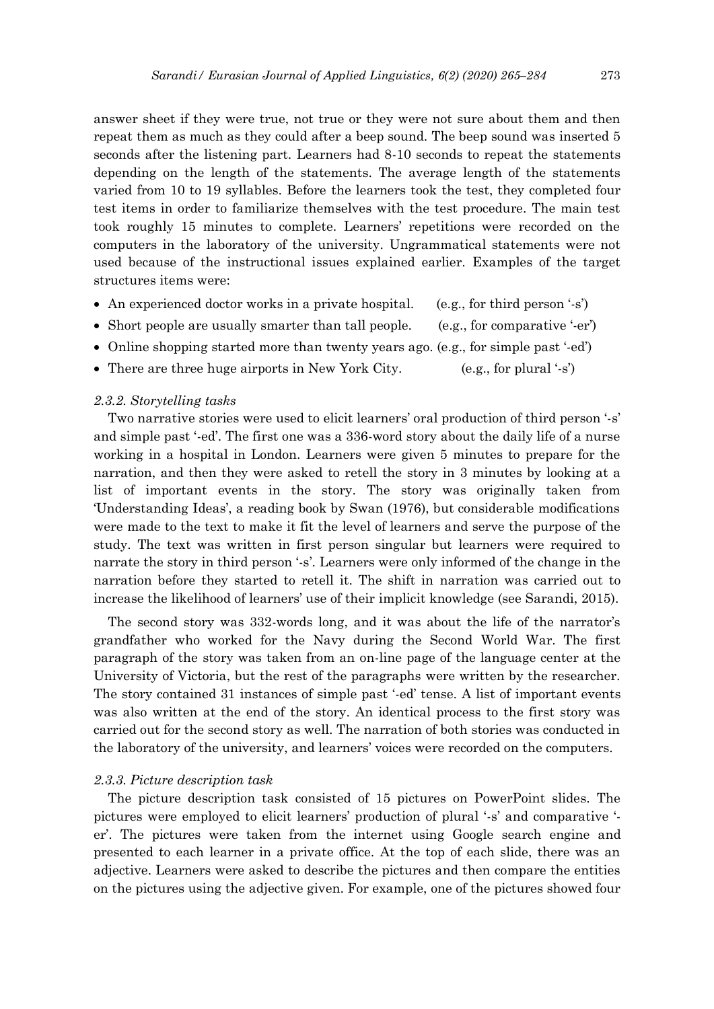answer sheet if they were true, not true or they were not sure about them and then repeat them as much as they could after a beep sound. The beep sound was inserted 5 seconds after the listening part. Learners had 8-10 seconds to repeat the statements depending on the length of the statements. The average length of the statements varied from 10 to 19 syllables. Before the learners took the test, they completed four test items in order to familiarize themselves with the test procedure. The main test took roughly 15 minutes to complete. Learners' repetitions were recorded on the computers in the laboratory of the university. Ungrammatical statements were not used because of the instructional issues explained earlier. Examples of the target structures items were:

- An experienced doctor works in a private hospital. (e.g., for third person '-s')
- Short people are usually smarter than tall people. (e.g., for comparative '-er')
- Online shopping started more than twenty years ago. (e.g., for simple past '-ed')
- There are three huge airports in New York City. (e.g., for plural '-s')

## *2.3.2. Storytelling tasks*

Two narrative stories were used to elicit learners' oral production of third person '-s' and simple past '-ed'. The first one was a 336-word story about the daily life of a nurse working in a hospital in London. Learners were given 5 minutes to prepare for the narration, and then they were asked to retell the story in 3 minutes by looking at a list of important events in the story. The story was originally taken from 'Understanding Ideas', a reading book by Swan (1976), but considerable modifications were made to the text to make it fit the level of learners and serve the purpose of the study. The text was written in first person singular but learners were required to narrate the story in third person '-s'. Learners were only informed of the change in the narration before they started to retell it. The shift in narration was carried out to increase the likelihood of learners' use of their implicit knowledge (see Sarandi, 2015).

The second story was 332-words long, and it was about the life of the narrator's grandfather who worked for the Navy during the Second World War. The first paragraph of the story was taken from an on-line page of the language center at the University of Victoria, but the rest of the paragraphs were written by the researcher. The story contained 31 instances of simple past '-ed' tense. A list of important events was also written at the end of the story. An identical process to the first story was carried out for the second story as well. The narration of both stories was conducted in the laboratory of the university, and learners' voices were recorded on the computers.

#### *2.3.3. Picture description task*

The picture description task consisted of 15 pictures on PowerPoint slides. The pictures were employed to elicit learners' production of plural '-s' and comparative ' er'. The pictures were taken from the internet using Google search engine and presented to each learner in a private office. At the top of each slide, there was an adjective. Learners were asked to describe the pictures and then compare the entities on the pictures using the adjective given. For example, one of the pictures showed four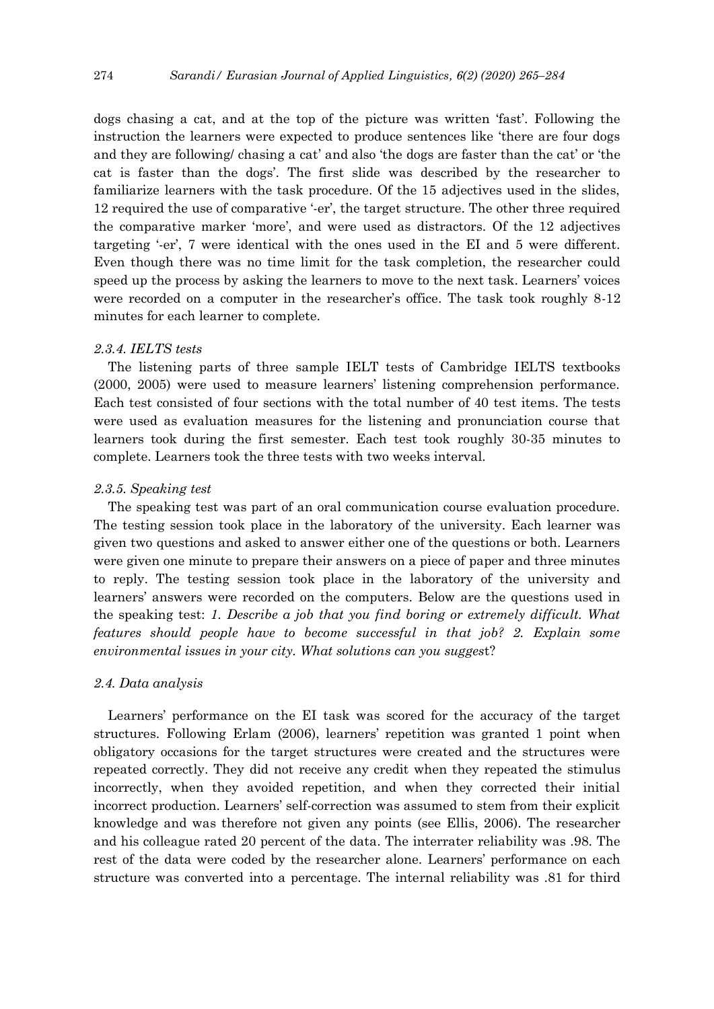dogs chasing a cat, and at the top of the picture was written 'fast'. Following the instruction the learners were expected to produce sentences like 'there are four dogs and they are following/ chasing a cat' and also 'the dogs are faster than the cat' or 'the cat is faster than the dogs'. The first slide was described by the researcher to familiarize learners with the task procedure. Of the 15 adjectives used in the slides, 12 required the use of comparative '-er', the target structure. The other three required the comparative marker 'more', and were used as distractors. Of the 12 adjectives targeting '-er', 7 were identical with the ones used in the EI and 5 were different. Even though there was no time limit for the task completion, the researcher could speed up the process by asking the learners to move to the next task. Learners' voices were recorded on a computer in the researcher's office. The task took roughly 8-12 minutes for each learner to complete.

#### *2.3.4. IELTS tests*

The listening parts of three sample IELT tests of Cambridge IELTS textbooks (2000, 2005) were used to measure learners' listening comprehension performance. Each test consisted of four sections with the total number of 40 test items. The tests were used as evaluation measures for the listening and pronunciation course that learners took during the first semester. Each test took roughly 30-35 minutes to complete. Learners took the three tests with two weeks interval.

#### *2.3.5. Speaking test*

The speaking test was part of an oral communication course evaluation procedure. The testing session took place in the laboratory of the university. Each learner was given two questions and asked to answer either one of the questions or both. Learners were given one minute to prepare their answers on a piece of paper and three minutes to reply. The testing session took place in the laboratory of the university and learners' answers were recorded on the computers. Below are the questions used in the speaking test: *1. Describe a job that you find boring or extremely difficult. What features should people have to become successful in that job? 2. Explain some environmental issues in your city. What solutions can you sugges*t?

#### *2.4. Data analysis*

Learners' performance on the EI task was scored for the accuracy of the target structures. Following Erlam (2006), learners' repetition was granted 1 point when obligatory occasions for the target structures were created and the structures were repeated correctly. They did not receive any credit when they repeated the stimulus incorrectly, when they avoided repetition, and when they corrected their initial incorrect production. Learners' self-correction was assumed to stem from their explicit knowledge and was therefore not given any points (see Ellis, 2006). The researcher and his colleague rated 20 percent of the data. The interrater reliability was .98. The rest of the data were coded by the researcher alone. Learners' performance on each structure was converted into a percentage. The internal reliability was .81 for third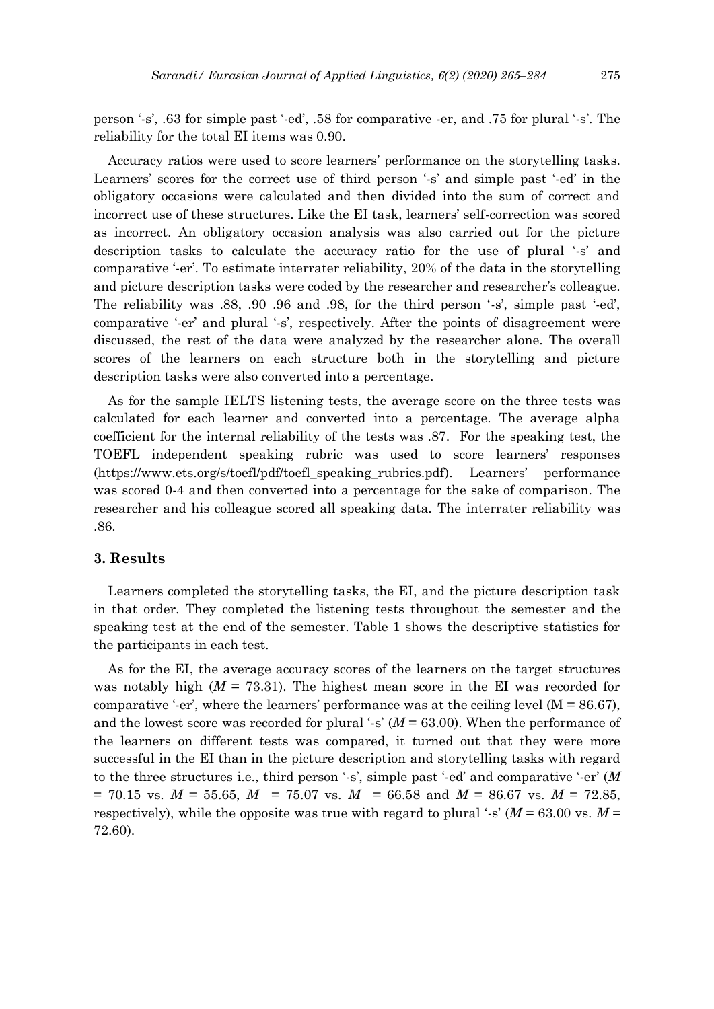person '-s', .63 for simple past '-ed', .58 for comparative -er, and .75 for plural '-s'. The reliability for the total EI items was 0.90.

Accuracy ratios were used to score learners' performance on the storytelling tasks. Learners' scores for the correct use of third person '-s' and simple past '-ed' in the obligatory occasions were calculated and then divided into the sum of correct and incorrect use of these structures. Like the EI task, learners' self-correction was scored as incorrect. An obligatory occasion analysis was also carried out for the picture description tasks to calculate the accuracy ratio for the use of plural '-s' and comparative '-er'. To estimate interrater reliability, 20% of the data in the storytelling and picture description tasks were coded by the researcher and researcher's colleague. The reliability was .88, .90 .96 and .98, for the third person '-s', simple past '-ed', comparative '-er' and plural '-s', respectively. After the points of disagreement were discussed, the rest of the data were analyzed by the researcher alone. The overall scores of the learners on each structure both in the storytelling and picture description tasks were also converted into a percentage.

As for the sample IELTS listening tests, the average score on the three tests was calculated for each learner and converted into a percentage. The average alpha coefficient for the internal reliability of the tests was .87. For the speaking test, the TOEFL independent speaking rubric was used to score learners' responses [\(https://www.ets.org/s/toefl/pdf/toefl\\_speaking\\_rubrics.pdf\)](https://www.ets.org/s/toefl/pdf/toefl_speaking_rubrics.pdf). Learners' performance was scored 0-4 and then converted into a percentage for the sake of comparison. The researcher and his colleague scored all speaking data. The interrater reliability was .86.

# **3. Results**

Learners completed the storytelling tasks, the EI, and the picture description task in that order. They completed the listening tests throughout the semester and the speaking test at the end of the semester. Table 1 shows the descriptive statistics for the participants in each test.

As for the EI, the average accuracy scores of the learners on the target structures was notably high  $(M = 73.31)$ . The highest mean score in the EI was recorded for comparative '-er', where the learners' performance was at the ceiling level  $(M = 86.67)$ , and the lowest score was recorded for plural '-s' (*M* = 63.00). When the performance of the learners on different tests was compared, it turned out that they were more successful in the EI than in the picture description and storytelling tasks with regard to the three structures i.e., third person '-s', simple past '-ed' and comparative '-er' (*M*  $= 70.15$  vs.  $M = 55.65$ ,  $M = 75.07$  vs.  $M = 66.58$  and  $M = 86.67$  vs.  $M = 72.85$ , respectively), while the opposite was true with regard to plural '-s'  $(M = 63.00 \text{ vs. } M =$ 72.60).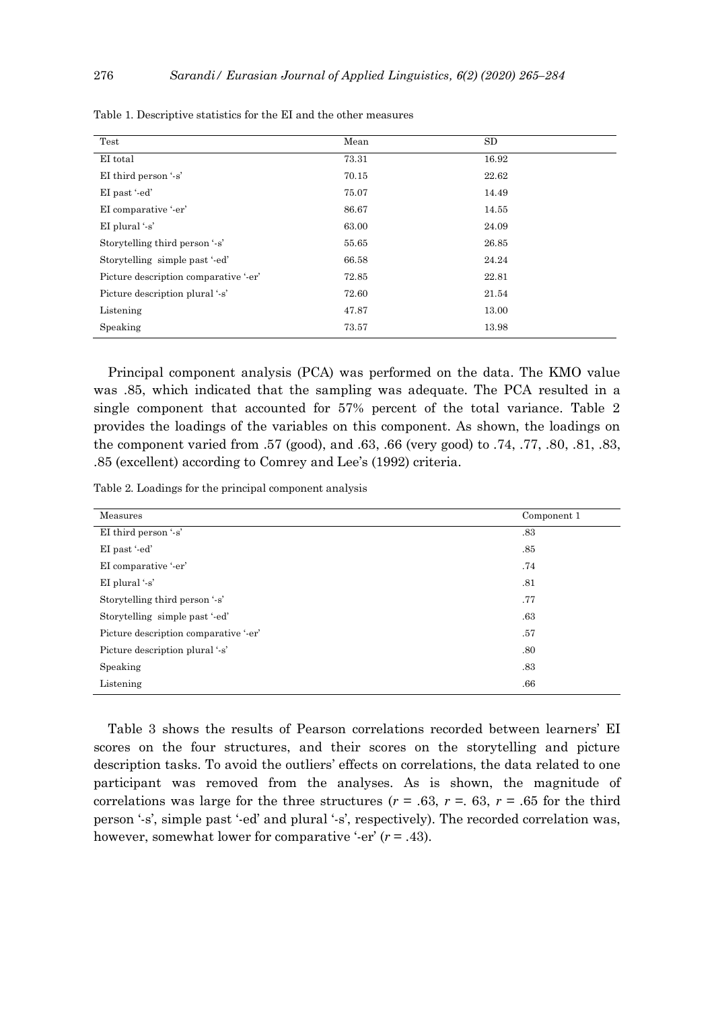| Test                                  | Mean  | SD.   |
|---------------------------------------|-------|-------|
| EI total                              | 73.31 | 16.92 |
| EI third person '-s'                  | 70.15 | 22.62 |
| EI past '-ed'                         | 75.07 | 14.49 |
| EI comparative '-er'                  | 86.67 | 14.55 |
| EI plural $'s'$                       | 63.00 | 24.09 |
| Storytelling third person '-s'        | 55.65 | 26.85 |
| Storytelling simple past '-ed'        | 66.58 | 24.24 |
| Picture description comparative '-er' | 72.85 | 22.81 |
| Picture description plural '-s'       | 72.60 | 21.54 |
| Listening                             | 47.87 | 13.00 |
| Speaking                              | 73.57 | 13.98 |

Table 1. Descriptive statistics for the EI and the other measures

Principal component analysis (PCA) was performed on the data. The KMO value was .85, which indicated that the sampling was adequate. The PCA resulted in a single component that accounted for 57% percent of the total variance. Table 2 provides the loadings of the variables on this component. As shown, the loadings on the component varied from .57 (good), and .63, .66 (very good) to .74, .77, .80, .81, .83, .85 (excellent) according to Comrey and Lee's (1992) criteria.

Table 2. Loadings for the principal component analysis

| Measures                              | Component 1 |
|---------------------------------------|-------------|
| EI third person '-s'                  | .83         |
| EI past '-ed'                         | .85         |
| EI comparative '-er'                  | .74         |
| EI plural $'s'$                       | .81         |
| Storytelling third person '-s'        | .77         |
| Storytelling simple past '-ed'        | .63         |
| Picture description comparative '-er' | .57         |
| Picture description plural '-s'       | .80         |
| Speaking                              | .83         |
| Listening                             | .66         |

Table 3 shows the results of Pearson correlations recorded between learners' EI scores on the four structures, and their scores on the storytelling and picture description tasks. To avoid the outliers' effects on correlations, the data related to one participant was removed from the analyses. As is shown, the magnitude of correlations was large for the three structures ( $r = .63$ ,  $r = .63$ ,  $r = .65$  for the third person '-s', simple past '-ed' and plural '-s', respectively). The recorded correlation was, however, somewhat lower for comparative '-er'  $(r = .43)$ .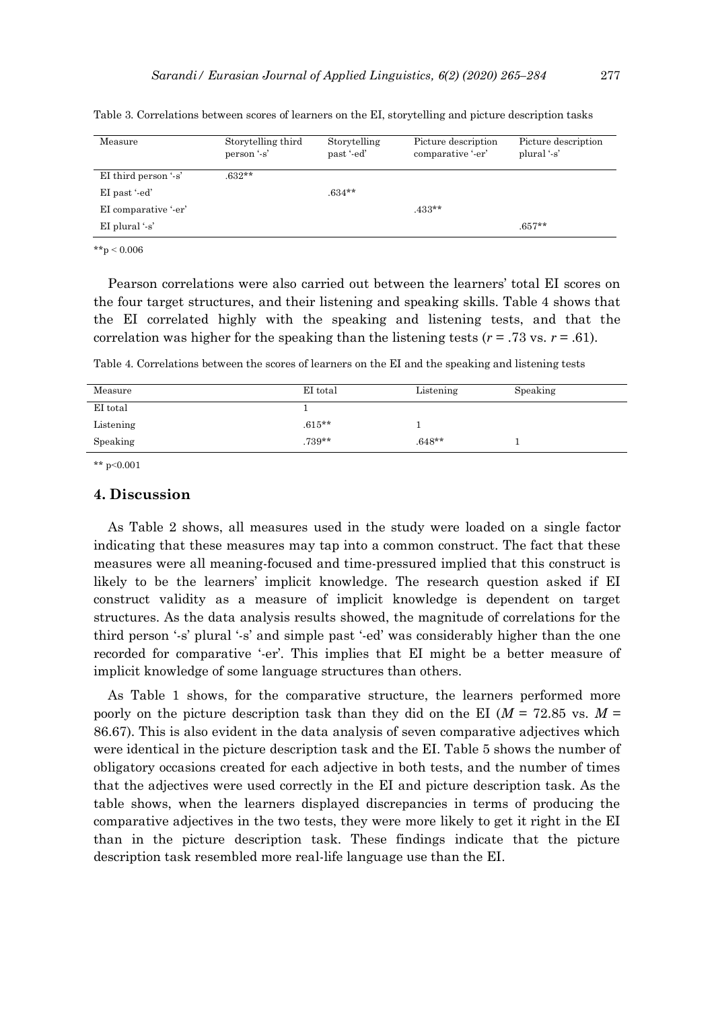| Measure                    | Storytelling third<br>person '-s' | Storytelling<br>past '-ed' | Picture description<br>comparative '-er' | Picture description<br>plural '-s' |
|----------------------------|-----------------------------------|----------------------------|------------------------------------------|------------------------------------|
| EI third person $\cdot$ s' | $.632**$                          |                            |                                          |                                    |
| EI past '-ed'              |                                   | $.634**$                   |                                          |                                    |
| EI comparative '-er'       |                                   |                            | $.433**$                                 |                                    |
| EI plural $'s'$            |                                   |                            |                                          | $.657**$                           |

Table 3. Correlations between scores of learners on the EI, storytelling and picture description tasks

 $*$  $*$ p < 0.006

Pearson correlations were also carried out between the learners' total EI scores on the four target structures, and their listening and speaking skills. Table 4 shows that the EI correlated highly with the speaking and listening tests, and that the correlation was higher for the speaking than the listening tests  $(r = .73 \text{ vs. } r = .61)$ .

Table 4. Correlations between the scores of learners on the EI and the speaking and listening tests

| Measure   | EI total  | Listening | Speaking |
|-----------|-----------|-----------|----------|
| EI total  |           |           |          |
| Listening | $.615***$ |           |          |
| Speaking  | $.739**$  | $.648**$  |          |

\*\* p˂0.001

# **4. Discussion**

As Table 2 shows, all measures used in the study were loaded on a single factor indicating that these measures may tap into a common construct. The fact that these measures were all meaning-focused and time-pressured implied that this construct is likely to be the learners' implicit knowledge. The research question asked if EI construct validity as a measure of implicit knowledge is dependent on target structures. As the data analysis results showed, the magnitude of correlations for the third person '-s' plural '-s' and simple past '-ed' was considerably higher than the one recorded for comparative '-er'. This implies that EI might be a better measure of implicit knowledge of some language structures than others.

As Table 1 shows, for the comparative structure, the learners performed more poorly on the picture description task than they did on the EI ( $M = 72.85$  vs.  $M =$ 86.67). This is also evident in the data analysis of seven comparative adjectives which were identical in the picture description task and the EI. Table 5 shows the number of obligatory occasions created for each adjective in both tests, and the number of times that the adjectives were used correctly in the EI and picture description task. As the table shows, when the learners displayed discrepancies in terms of producing the comparative adjectives in the two tests, they were more likely to get it right in the EI than in the picture description task. These findings indicate that the picture description task resembled more real-life language use than the EI.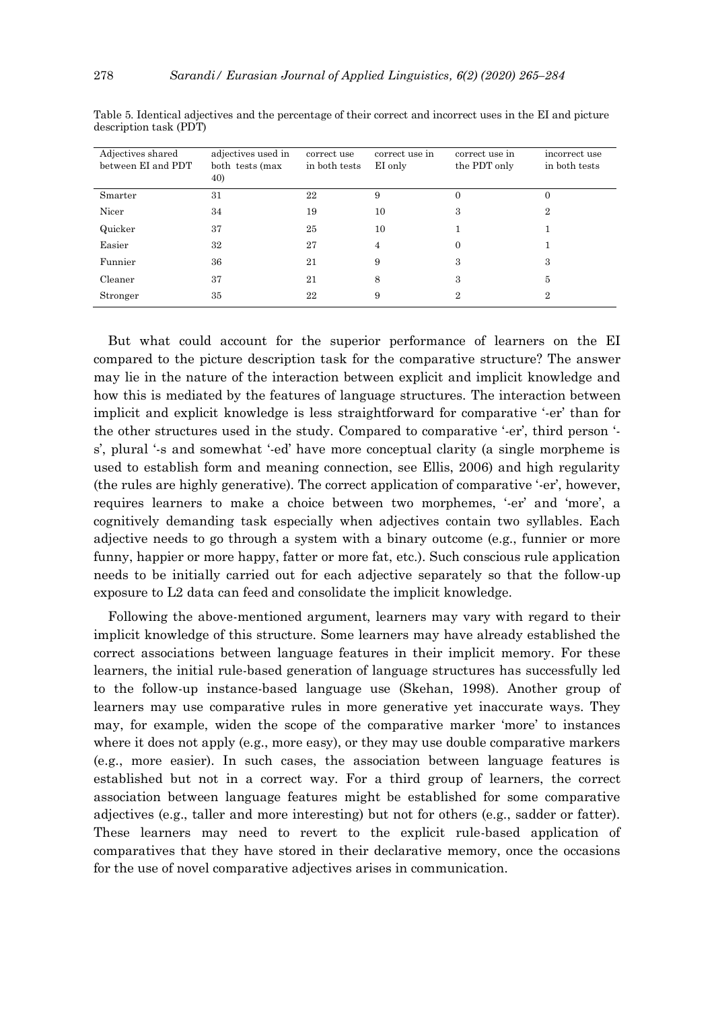| Adjectives shared<br>between EI and PDT | adjectives used in<br>both tests (max<br>40) | correct use<br>in both tests | correct use in<br>EI only | correct use in<br>the PDT only | incorrect use<br>in both tests |
|-----------------------------------------|----------------------------------------------|------------------------------|---------------------------|--------------------------------|--------------------------------|
| Smarter                                 | 31                                           | 22                           | 9                         | $\overline{0}$                 | 0                              |
| Nicer                                   | 34                                           | 19                           | 10                        | 3                              | $\overline{2}$                 |
| Quicker                                 | 37                                           | 25                           | 10                        |                                |                                |
| Easier                                  | 32                                           | 27                           | $\overline{4}$            | $\overline{0}$                 |                                |
| Funnier                                 | 36                                           | 21                           | 9                         | 3                              | 3                              |
| Cleaner                                 | 37                                           | 21                           | 8                         | 3                              | 5                              |
| Stronger                                | 35                                           | 22                           | 9                         | 2                              | $\overline{2}$                 |

Table 5. Identical adjectives and the percentage of their correct and incorrect uses in the EI and picture description task (PDT)

But what could account for the superior performance of learners on the EI compared to the picture description task for the comparative structure? The answer may lie in the nature of the interaction between explicit and implicit knowledge and how this is mediated by the features of language structures. The interaction between implicit and explicit knowledge is less straightforward for comparative '-er' than for the other structures used in the study. Compared to comparative '-er', third person ' s', plural '-s and somewhat '-ed' have more conceptual clarity (a single morpheme is used to establish form and meaning connection, see Ellis, 2006) and high regularity (the rules are highly generative). The correct application of comparative '-er', however, requires learners to make a choice between two morphemes, '-er' and 'more', a cognitively demanding task especially when adjectives contain two syllables. Each adjective needs to go through a system with a binary outcome (e.g., funnier or more funny, happier or more happy, fatter or more fat, etc.). Such conscious rule application needs to be initially carried out for each adjective separately so that the follow-up exposure to L2 data can feed and consolidate the implicit knowledge.

Following the above-mentioned argument, learners may vary with regard to their implicit knowledge of this structure. Some learners may have already established the correct associations between language features in their implicit memory. For these learners, the initial rule-based generation of language structures has successfully led to the follow-up instance-based language use (Skehan, 1998). Another group of learners may use comparative rules in more generative yet inaccurate ways. They may, for example, widen the scope of the comparative marker 'more' to instances where it does not apply (e.g., more easy), or they may use double comparative markers (e.g., more easier). In such cases, the association between language features is established but not in a correct way. For a third group of learners, the correct association between language features might be established for some comparative adjectives (e.g., taller and more interesting) but not for others (e.g., sadder or fatter). These learners may need to revert to the explicit rule-based application of comparatives that they have stored in their declarative memory, once the occasions for the use of novel comparative adjectives arises in communication.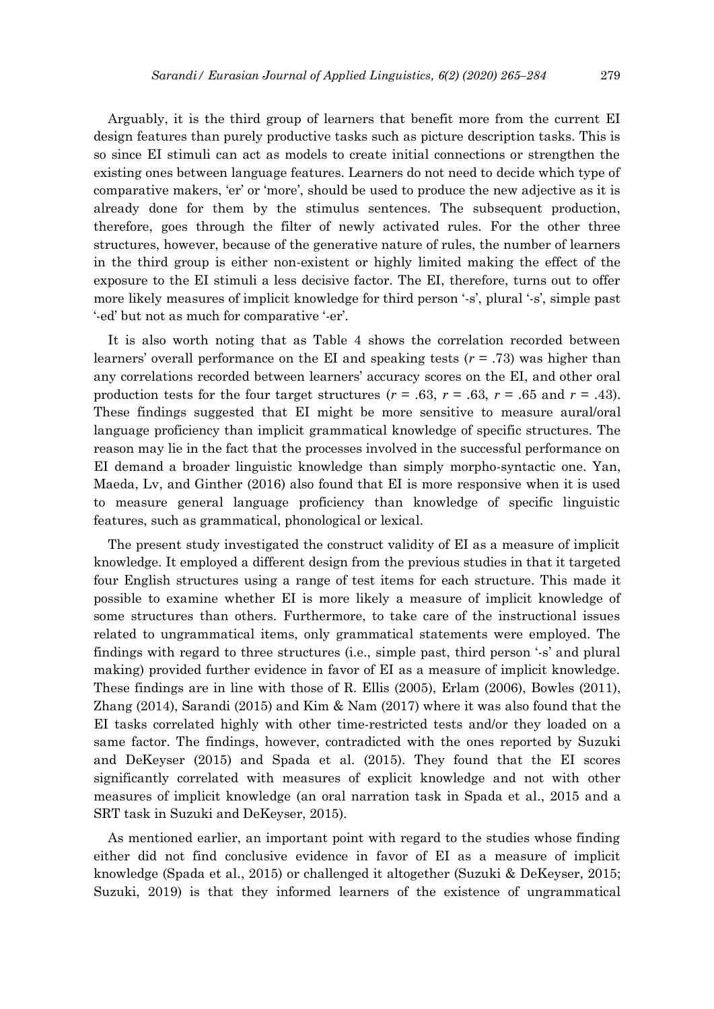Arguably, it is the third group of learners that benefit more from the current EI design features than purely productive tasks such as picture description tasks. This is so since EI stimuli can act as models to create initial connections or strengthen the existing ones between language features. Learners do not need to decide which type of comparative makers, 'er' or 'more', should be used to produce the new adjective as it is already done for them by the stimulus sentences. The subsequent production, therefore, goes through the filter of newly activated rules. For the other three structures, however, because of the generative nature of rules, the number of learners in the third group is either non-existent or highly limited making the effect of the exposure to the EI stimuli a less decisive factor. The EI, therefore, turns out to offer more likely measures of implicit knowledge for third person '-s', plural '-s', simple past '-ed' but not as much for comparative '-er'.

It is also worth noting that as Table 4 shows the correlation recorded between learners' overall performance on the EI and speaking tests (*r* = .73) was higher than any correlations recorded between learners' accuracy scores on the EI, and other oral production tests for the four target structures ( $r = .63$ ,  $r = .63$ ,  $r = .65$  and  $r = .43$ ). These findings suggested that EI might be more sensitive to measure aural/oral language proficiency than implicit grammatical knowledge of specific structures. The reason may lie in the fact that the processes involved in the successful performance on EI demand a broader linguistic knowledge than simply morpho-syntactic one. Yan, Maeda, Lv, and Ginther (2016) also found that EI is more responsive when it is used to measure general language proficiency than knowledge of specific linguistic features, such as grammatical, phonological or lexical.

The present study investigated the construct validity of EI as a measure of implicit knowledge. It employed a different design from the previous studies in that it targeted four English structures using a range of test items for each structure. This made it possible to examine whether EI is more likely a measure of implicit knowledge of some structures than others. Furthermore, to take care of the instructional issues related to ungrammatical items, only grammatical statements were employed. The findings with regard to three structures (i.e., simple past, third person '-s' and plural making) provided further evidence in favor of EI as a measure of implicit knowledge. These findings are in line with those of R. Ellis (2005), Erlam (2006), Bowles (2011), Zhang (2014), Sarandi (2015) and Kim & Nam (2017) where it was also found that the EI tasks correlated highly with other time-restricted tests and/or they loaded on a same factor. The findings, however, contradicted with the ones reported by Suzuki and DeKeyser (2015) and Spada et al. (2015). They found that the EI scores significantly correlated with measures of explicit knowledge and not with other measures of implicit knowledge (an oral narration task in Spada et al., 2015 and a SRT task in Suzuki and DeKeyser, 2015).

As mentioned earlier, an important point with regard to the studies whose finding either did not find conclusive evidence in favor of EI as a measure of implicit knowledge (Spada et al., 2015) or challenged it altogether (Suzuki & DeKeyser, 2015; Suzuki, 2019) is that they informed learners of the existence of ungrammatical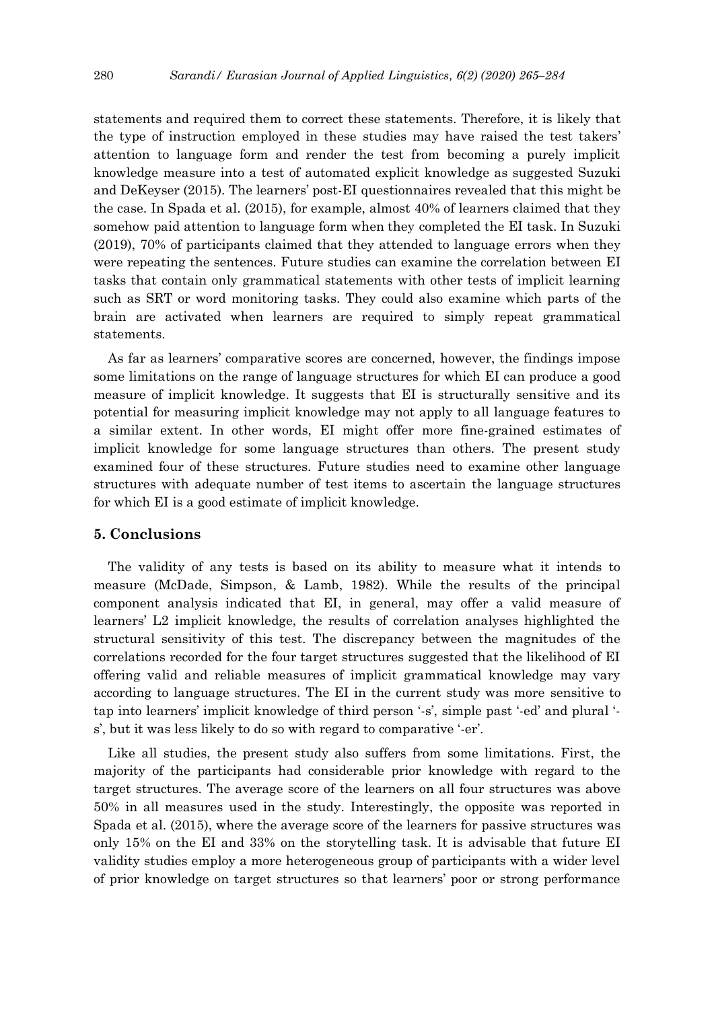statements and required them to correct these statements. Therefore, it is likely that the type of instruction employed in these studies may have raised the test takers' attention to language form and render the test from becoming a purely implicit knowledge measure into a test of automated explicit knowledge as suggested Suzuki and DeKeyser (2015). The learners' post-EI questionnaires revealed that this might be the case. In Spada et al. (2015), for example, almost 40% of learners claimed that they somehow paid attention to language form when they completed the EI task. In Suzuki (2019), 70% of participants claimed that they attended to language errors when they were repeating the sentences. Future studies can examine the correlation between EI tasks that contain only grammatical statements with other tests of implicit learning such as SRT or word monitoring tasks. They could also examine which parts of the brain are activated when learners are required to simply repeat grammatical statements.

As far as learners' comparative scores are concerned, however, the findings impose some limitations on the range of language structures for which EI can produce a good measure of implicit knowledge. It suggests that EI is structurally sensitive and its potential for measuring implicit knowledge may not apply to all language features to a similar extent. In other words, EI might offer more fine-grained estimates of implicit knowledge for some language structures than others. The present study examined four of these structures. Future studies need to examine other language structures with adequate number of test items to ascertain the language structures for which EI is a good estimate of implicit knowledge.

## **5. Conclusions**

The validity of any tests is based on its ability to measure what it intends to measure (McDade, Simpson, & Lamb, 1982). While the results of the principal component analysis indicated that EI, in general, may offer a valid measure of learners' L2 implicit knowledge, the results of correlation analyses highlighted the structural sensitivity of this test. The discrepancy between the magnitudes of the correlations recorded for the four target structures suggested that the likelihood of EI offering valid and reliable measures of implicit grammatical knowledge may vary according to language structures. The EI in the current study was more sensitive to tap into learners' implicit knowledge of third person '-s', simple past '-ed' and plural ' s', but it was less likely to do so with regard to comparative '-er'.

Like all studies, the present study also suffers from some limitations. First, the majority of the participants had considerable prior knowledge with regard to the target structures. The average score of the learners on all four structures was above 50% in all measures used in the study. Interestingly, the opposite was reported in Spada et al. (2015), where the average score of the learners for passive structures was only 15% on the EI and 33% on the storytelling task. It is advisable that future EI validity studies employ a more heterogeneous group of participants with a wider level of prior knowledge on target structures so that learners' poor or strong performance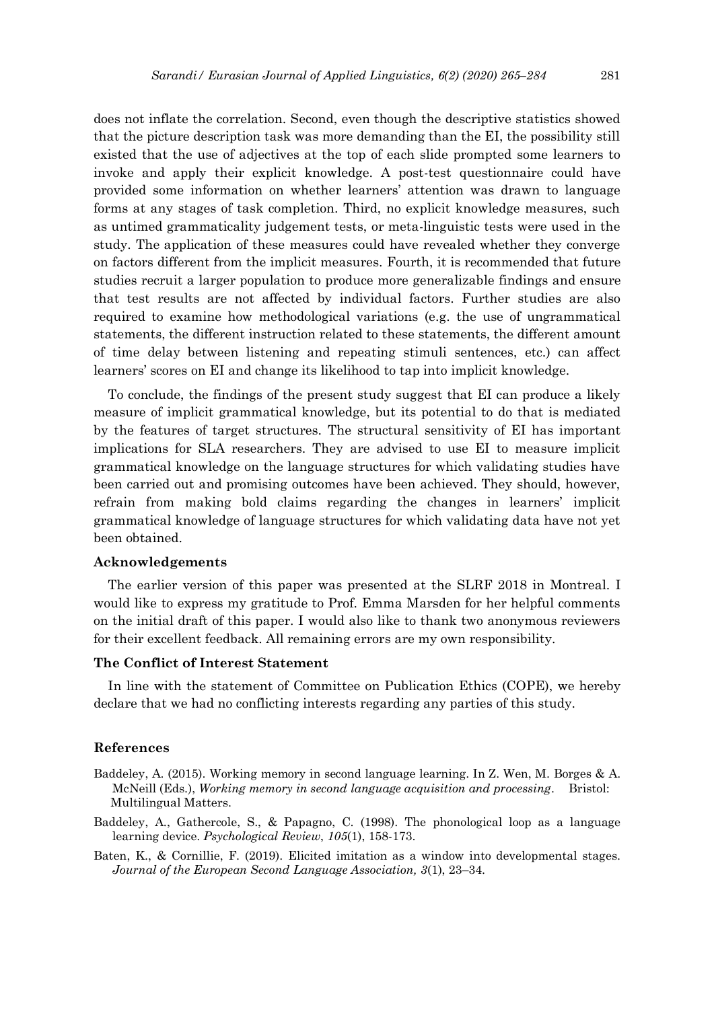does not inflate the correlation. Second, even though the descriptive statistics showed that the picture description task was more demanding than the EI, the possibility still existed that the use of adjectives at the top of each slide prompted some learners to invoke and apply their explicit knowledge. A post-test questionnaire could have provided some information on whether learners' attention was drawn to language forms at any stages of task completion. Third, no explicit knowledge measures, such as untimed grammaticality judgement tests, or meta-linguistic tests were used in the study. The application of these measures could have revealed whether they converge on factors different from the implicit measures. Fourth, it is recommended that future studies recruit a larger population to produce more generalizable findings and ensure that test results are not affected by individual factors. Further studies are also required to examine how methodological variations (e.g. the use of ungrammatical statements, the different instruction related to these statements, the different amount of time delay between listening and repeating stimuli sentences, etc.) can affect learners' scores on EI and change its likelihood to tap into implicit knowledge.

To conclude, the findings of the present study suggest that EI can produce a likely measure of implicit grammatical knowledge, but its potential to do that is mediated by the features of target structures. The structural sensitivity of EI has important implications for SLA researchers. They are advised to use EI to measure implicit grammatical knowledge on the language structures for which validating studies have been carried out and promising outcomes have been achieved. They should, however, refrain from making bold claims regarding the changes in learners' implicit grammatical knowledge of language structures for which validating data have not yet been obtained.

## **Acknowledgements**

The earlier version of this paper was presented at the SLRF 2018 in Montreal. I would like to express my gratitude to Prof. Emma Marsden for her helpful comments on the initial draft of this paper. I would also like to thank two anonymous reviewers for their excellent feedback. All remaining errors are my own responsibility.

# **The Conflict of Interest Statement**

In line with the statement of Committee on Publication Ethics (COPE), we hereby declare that we had no conflicting interests regarding any parties of this study.

#### **References**

- Baddeley, A. (2015). Working memory in second language learning. In Z. Wen, M. Borges & A. McNeill (Eds.), *Working memory in second language acquisition and processing*. Bristol: Multilingual Matters.
- Baddeley, A., Gathercole, S., & Papagno, C. (1998). The phonological loop as a language learning device. *Psychological Review*, *105*(1), 158-173.
- Baten, K., & Cornillie, F. (2019). Elicited imitation as a window into developmental stages. *Journal of the European Second Language Association, 3*(1), 23–34.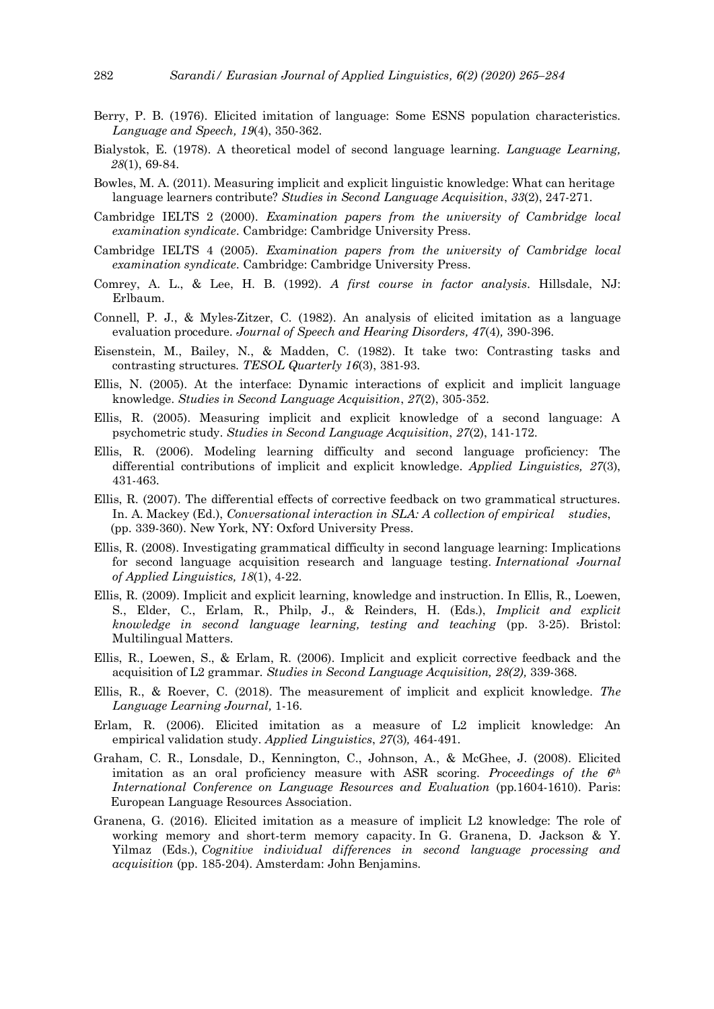- Berry, P. B. (1976). Elicited imitation of language: Some ESNS population characteristics. *Language and Speech, 19*(4), 350-362.
- Bialystok, E. (1978). A theoretical model of second language learning. *Language Learning, 28*(1), 69-84.
- Bowles, M. A. (2011). Measuring implicit and explicit linguistic knowledge: What can heritage language learners contribute? *Studies in Second Language Acquisition*, *33*(2), 247-271.
- Cambridge IELTS 2 (2000). *Examination papers from the university of Cambridge local examination syndicate*. Cambridge: Cambridge University Press.
- Cambridge IELTS 4 (2005). *Examination papers from the university of Cambridge local examination syndicate*. Cambridge: Cambridge University Press.
- Comrey, A. L., & Lee, H. B. (1992). *A first course in factor analysis*. Hillsdale, NJ: Erlbaum.
- Connell, P. J., & Myles-Zitzer, C. (1982). An analysis of elicited imitation as a language evaluation procedure. *Journal of Speech and Hearing Disorders, 47*(4)*,* 390-396.
- Eisenstein, M., Bailey, N., & Madden, C. (1982). It take two: Contrasting tasks and contrasting structures. *TESOL Quarterly 16*(3), 381-93.
- Ellis, N. (2005). At the interface: Dynamic interactions of explicit and implicit language knowledge. *Studies in Second Language Acquisition*, *27*(2), 305-352.
- Ellis, R. (2005). Measuring implicit and explicit knowledge of a second language: A psychometric study. *Studies in Second Language Acquisition*, *27*(2), 141-172.
- Ellis, R. (2006). Modeling learning difficulty and second language proficiency: The differential contributions of implicit and explicit knowledge. *Applied Linguistics, 27*(3), 431-463.
- Ellis, R. (2007). The differential effects of corrective feedback on two grammatical structures. In. A. Mackey (Ed.), *Conversational interaction in SLA: A collection of empirical studies*, (pp. 339-360). New York, NY: Oxford University Press.
- Ellis, R. (2008). Investigating grammatical difficulty in second language learning: Implications for second language acquisition research and language testing. *International Journal of Applied Linguistics, 18*(1), 4-22.
- Ellis, R. (2009). Implicit and explicit learning, knowledge and instruction. In Ellis, R., Loewen, S., Elder, C., Erlam, R., Philp, J., & Reinders, H. (Eds.), *Implicit and explicit knowledge in second language learning, testing and teaching* (pp. 3-25). Bristol: Multilingual Matters.
- Ellis, R., Loewen, S., & Erlam, R. (2006). Implicit and explicit corrective feedback and the acquisition of L2 grammar. *Studies in Second Language Acquisition, 28(2),* 339-368.
- Ellis, R., & Roever, C. (2018). The measurement of implicit and explicit knowledge. *The Language Learning Journal,* 1-16.
- Erlam, R. (2006). Elicited imitation as a measure of L2 implicit knowledge: An empirical validation study. *Applied Linguistics*, *27*(3)*,* 464-491.
- Graham, C. R., Lonsdale, D., Kennington, C., Johnson, A., & McGhee, J. (2008). Elicited imitation as an oral proficiency measure with ASR scoring. *Proceedings of the 6th International Conference on Language Resources and Evaluation* (pp.1604-1610). Paris: European Language Resources Association.
- Granena, G. (2016). Elicited imitation as a measure of implicit L2 knowledge: The role of working memory and short-term memory capacity. In G. Granena, D. Jackson & Y. Yilmaz (Eds.), *Cognitive individual differences in second language processing and acquisition* (pp. 185-204). Amsterdam: John Benjamins.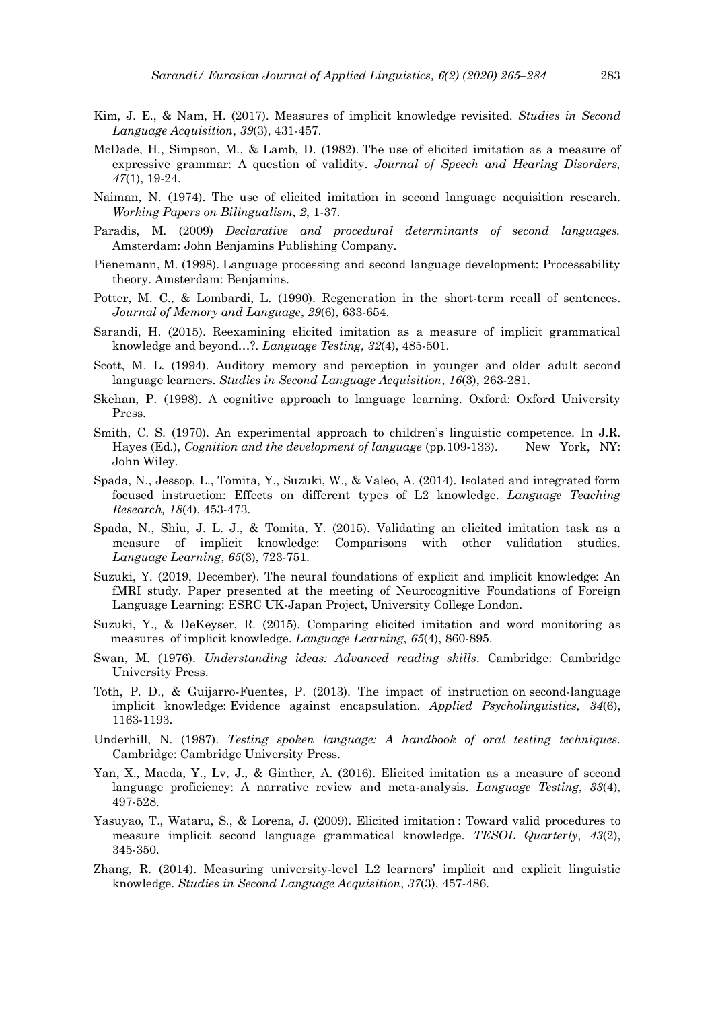- Kim, J. E., & Nam, H. (2017). Measures of implicit knowledge revisited. *Studies in Second Language Acquisition*, *39*(3), 431-457.
- McDade, H., Simpson, M., & Lamb, D. (1982). The use of elicited imitation as a measure of expressive grammar: A question of validity. *Journal of Speech and Hearing Disorders, 47*(1), 19-24.
- Naiman, N. (1974). The use of elicited imitation in second language acquisition research. *Working Papers on Bilingualism, 2*, 1-37.
- Paradis, M. (2009) *Declarative and procedural determinants of second languages.* Amsterdam: John Benjamins Publishing Company.
- Pienemann, M. (1998). Language processing and second language development: Processability theory. Amsterdam: Benjamins.
- Potter, M. C., & Lombardi, L. (1990). Regeneration in the short-term recall of sentences. *Journal of Memory and Language*, *29*(6), 633-654.
- Sarandi, H. (2015). Reexamining elicited imitation as a measure of implicit grammatical knowledge and beyond…?. *Language Testing, 32*(4), 485-501.
- Scott, M. L. (1994). Auditory memory and perception in younger and older adult second language learners. *Studies in Second Language Acquisition*, *16*(3), 263-281.
- Skehan, P. (1998). A cognitive approach to language learning. Oxford: Oxford University Press.
- Smith, C. S. (1970). An experimental approach to children's linguistic competence. In J.R. Hayes (Ed.), *Cognition and the development of language* (pp.109-133). New York, NY: John Wiley.
- Spada, N., Jessop, L., Tomita, Y., Suzuki, W., & Valeo, A. (2014). Isolated and integrated form focused instruction: Effects on different types of L2 knowledge. *Language Teaching Research, 18*(4), 453-473.
- Spada, N., Shiu, J. L. J., & Tomita, Y. (2015). Validating an elicited imitation task as a measure of implicit knowledge: Comparisons with other validation studies. *Language Learning*, *65*(3), 723-751.
- Suzuki, Y. (2019, December). The neural foundations of explicit and implicit knowledge: An fMRI study. Paper presented at the meeting of Neurocognitive Foundations of Foreign Language Learning: ESRC UK-Japan Project, University College London.
- Suzuki, Y., & DeKeyser, R. (2015). Comparing elicited imitation and word monitoring as measures of implicit knowledge. *Language Learning*, *65*(4), 860-895.
- Swan, M. (1976). *Understanding ideas: Advanced reading skills*. Cambridge: Cambridge University Press.
- Toth, P. D., & Guijarro-Fuentes, P. (2013). The impact of instruction on second-language implicit knowledge: Evidence against encapsulation. *Applied Psycholinguistics, 34*(6), 1163-1193.
- Underhill, N. (1987). *Testing spoken language: A handbook of oral testing techniques.* Cambridge: Cambridge University Press.
- Yan, X., Maeda, Y., Lv, J., & Ginther, A. (2016). Elicited imitation as a measure of second language proficiency: A narrative review and meta-analysis. *Language Testing*, *33*(4), 497-528.
- Yasuyao, T., Wataru, S., & Lorena, J. (2009). Elicited imitation : Toward valid procedures to measure implicit second language grammatical knowledge. *TESOL Quarterly*, *43*(2), 345-350.
- Zhang, R. (2014). Measuring university-level L2 learners' implicit and explicit linguistic knowledge. *Studies in Second Language Acquisition*, *37*(3), 457-486.